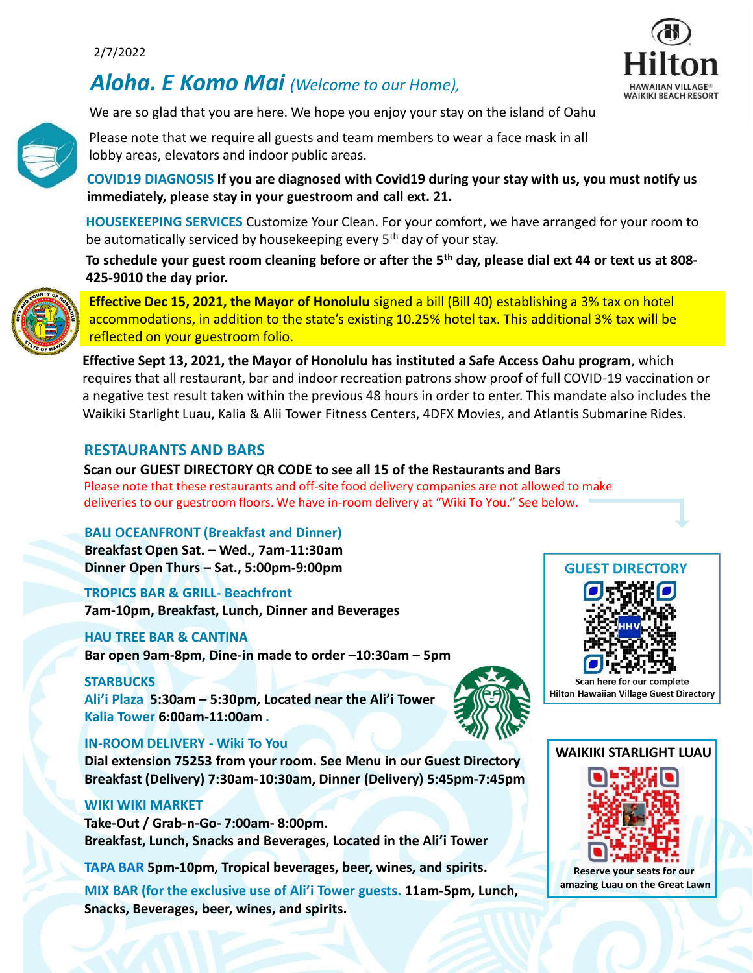# 2/7/2022

# *Aloha. E Komo Mai (Welcome to our Home),*

**WAIKIKI BEACH RESORT** 



We are so glad that you are here. We hope you enjoy your stay on the island of Oahu

Please note that we require all guests and team members to wear a face mask in all lobby areas, elevators and indoor public areas.

**COVID19 DIAGNOSIS If you are diagnosed with Covid19 during your stay with us, you must notify us immediately, please stay in your guestroom and call ext. 21.** 

**HOUSEKEEPING SERVICES** Customize Your Clean. For your comfort, we have arranged for your room to be automatically serviced by housekeeping every 5<sup>th</sup> day of your stay.

**To schedule your guest room cleaning before or after the 5th day, please dial ext 44 or text us at 808- 425-9010 the day prior.** 



**Effective Dec 15, 2021, the Mayor of Honolulu** signed a bill (Bill 40) establishing a 3% tax on hotel accommodations, in addition to the state's existing 10.25% hotel tax. This additional 3% tax will be reflected on your guestroom folio.

**Effective Sept 13, 2021, the Mayor of Honolulu has instituted a Safe Access Oahu program**, which requires that all restaurant, bar and indoor recreation patrons show proof of full COVID-19 vaccination or a negative test result taken within the previous 48 hours in order to enter. This mandate also includes the Waikiki Starlight Luau, Kalia & Alii Tower Fitness Centers, 4DFX Movies, and Atlantis Submarine Rides.

# **RESTAURANTS AND BARS**

**Scan our GUEST DIRECTORY QR CODE to see all 15 of the Restaurants and Bars** Please note that these restaurants and off-site food delivery companies are not allowed to make deliveries to our guestroom floors. We have in-room delivery at "Wiki To You." See below.

**BALI OCEANFRONT (Breakfast and Dinner) Breakfast Open Sat. – Wed., 7am-11:30am Dinner Open Thurs – Sat., 5:00pm-9:00pm**

**TROPICS BAR & GRILL- Beachfront 7am-10pm, Breakfast, Lunch, Dinner and Beverages**

#### **HAU TREE BAR & CANTINA**

**Bar open 9am-8pm, Dine-in made to order –10:30am – 5pm**

**STARBUCKS Ali'i Plaza 5:30am – 5:30pm, Located near the Ali'i Tower Kalia Tower 6:00am-11:00am .** 



**IN-ROOM DELIVERY - Wiki To You**

**Dial extension 75253 from your room. See Menu in our Guest Directory Breakfast (Delivery) 7:30am-10:30am, Dinner (Delivery) 5:45pm-7:45pm**

# **WIKI WIKI MARKET**

**Take-Out / Grab-n-Go- 7:00am- 8:00pm. Breakfast, Lunch, Snacks and Beverages, Located in the Ali'i Tower**

**TAPA BAR 5pm-10pm, Tropical beverages, beer, wines, and spirits.** 

**MIX BAR (for the exclusive use of Ali'i Tower guests. 11am-5pm, Lunch, Snacks, Beverages, beer, wines, and spirits.** 



Scan here for our complete Hilton Hawaiian Village Guest Directory



**amazing Luau on the Great Lawn**